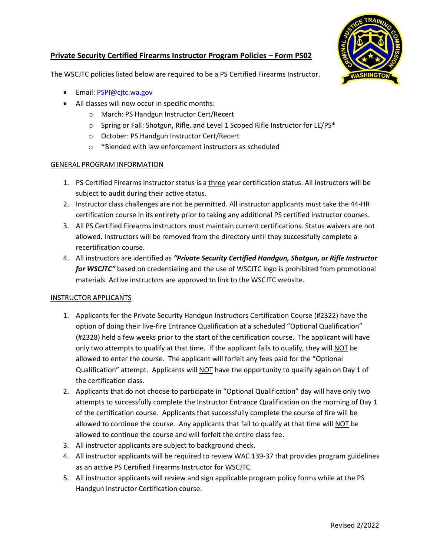

## **Private Security Certified Firearms Instructor Program Policies – Form PS02**

The WSCJTC policies listed below are required to be a PS Certified Firearms Instructor.

- Email: [PSPI@cjtc.wa.gov](mailto:PSPI@cjtc.wa.gov)
- All classes will now occur in specific months:
	- o March: PS Handgun Instructor Cert/Recert
	- $\circ$  Spring or Fall: Shotgun, Rifle, and Level 1 Scoped Rifle Instructor for LE/PS\*
	- o October: PS Handgun Instructor Cert/Recert
	- o \*Blended with law enforcement instructors as scheduled

### GENERAL PROGRAM INFORMATION

- 1. PS Certified Firearms instructor status is a three year certification status. All instructors will be subject to audit during their active status.
- 2. Instructor class challenges are not be permitted. All instructor applicants must take the 44-HR certification course in its entirety prior to taking any additional PS certified instructor courses.
- 3. All PS Certified Firearms instructors must maintain current certifications. Status waivers are not allowed. Instructors will be removed from the directory until they successfully complete a recertification course.
- 4. All instructors are identified as *"Private Security Certified Handgun, Shotgun, or Rifle Instructor for WSCJTC"* based on credentialing and the use of WSCJTC logo is prohibited from promotional materials. Active instructors are approved to link to the WSCJTC website.

#### INSTRUCTOR APPLICANTS

- 1. Applicants for the Private Security Handgun Instructors Certification Course (#2322) have the option of doing their live-fire Entrance Qualification at a scheduled "Optional Qualification" (#2328) held a few weeks prior to the start of the certification course. The applicant will have only two attempts to qualify at that time. If the applicant fails to qualify, they will NOT be allowed to enter the course. The applicant will forfeit any fees paid for the "Optional Qualification" attempt. Applicants will NOT have the opportunity to qualify again on Day 1 of the certification class.
- 2. Applicants that do not choose to participate in "Optional Qualification" day will have only two attempts to successfully complete the Instructor Entrance Qualification on the morning of Day 1 of the certification course. Applicants that successfully complete the course of fire will be allowed to continue the course. Any applicants that fail to qualify at that time will NOT be allowed to continue the course and will forfeit the entire class fee.
- 3. All instructor applicants are subject to background check.
- 4. All instructor applicants will be required to review WAC 139-37 that provides program guidelines as an active PS Certified Firearms Instructor for WSCJTC.
- 5. All instructor applicants will review and sign applicable program policy forms while at the PS Handgun Instructor Certification course.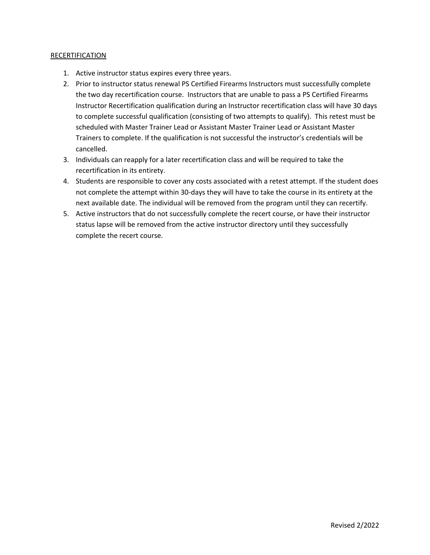#### RECERTIFICATION

- 1. Active instructor status expires every three years.
- 2. Prior to instructor status renewal PS Certified Firearms Instructors must successfully complete the two day recertification course. Instructors that are unable to pass a PS Certified Firearms Instructor Recertification qualification during an Instructor recertification class will have 30 days to complete successful qualification (consisting of two attempts to qualify). This retest must be scheduled with Master Trainer Lead or Assistant Master Trainer Lead or Assistant Master Trainers to complete. If the qualification is not successful the instructor's credentials will be cancelled.
- 3. Individuals can reapply for a later recertification class and will be required to take the recertification in its entirety.
- 4. Students are responsible to cover any costs associated with a retest attempt. If the student does not complete the attempt within 30-days they will have to take the course in its entirety at the next available date. The individual will be removed from the program until they can recertify.
- 5. Active instructors that do not successfully complete the recert course, or have their instructor status lapse will be removed from the active instructor directory until they successfully complete the recert course.